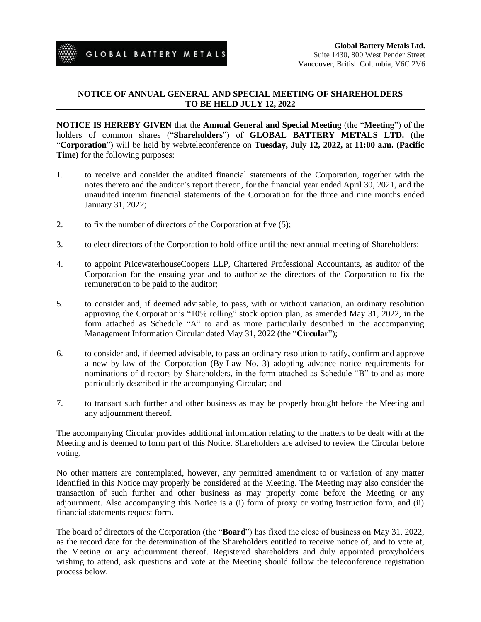

## **NOTICE OF ANNUAL GENERAL AND SPECIAL MEETING OF SHAREHOLDERS TO BE HELD JULY 12, 2022**

**NOTICE IS HEREBY GIVEN** that the **Annual General and Special Meeting** (the "**Meeting**") of the holders of common shares ("**Shareholders**") of **GLOBAL BATTERY METALS LTD.** (the "**Corporation**") will be held by web/teleconference on **Tuesday, July 12, 2022,** at **11:00 a.m. (Pacific Time)** for the following purposes:

- 1. to receive and consider the audited financial statements of the Corporation, together with the notes thereto and the auditor's report thereon, for the financial year ended April 30, 2021, and the unaudited interim financial statements of the Corporation for the three and nine months ended January 31, 2022;
- 2. to fix the number of directors of the Corporation at five (5);
- 3. to elect directors of the Corporation to hold office until the next annual meeting of Shareholders;
- 4. to appoint PricewaterhouseCoopers LLP, Chartered Professional Accountants, as auditor of the Corporation for the ensuing year and to authorize the directors of the Corporation to fix the remuneration to be paid to the auditor;
- 5. to consider and, if deemed advisable, to pass, with or without variation, an ordinary resolution approving the Corporation's "10% rolling" stock option plan, as amended May 31, 2022, in the form attached as Schedule "A" to and as more particularly described in the accompanying Management Information Circular dated May 31, 2022 (the "**Circular**");
- 6. to consider and, if deemed advisable, to pass an ordinary resolution to ratify, confirm and approve a new by-law of the Corporation (By-Law No. 3) adopting advance notice requirements for nominations of directors by Shareholders, in the form attached as Schedule "B" to and as more particularly described in the accompanying Circular; and
- 7. to transact such further and other business as may be properly brought before the Meeting and any adjournment thereof.

The accompanying Circular provides additional information relating to the matters to be dealt with at the Meeting and is deemed to form part of this Notice. Shareholders are advised to review the Circular before voting.

No other matters are contemplated, however, any permitted amendment to or variation of any matter identified in this Notice may properly be considered at the Meeting. The Meeting may also consider the transaction of such further and other business as may properly come before the Meeting or any adjournment. Also accompanying this Notice is a (i) form of proxy or voting instruction form, and (ii) financial statements request form.

The board of directors of the Corporation (the "**Board**") has fixed the close of business on May 31, 2022, as the record date for the determination of the Shareholders entitled to receive notice of, and to vote at, the Meeting or any adjournment thereof. Registered shareholders and duly appointed proxyholders wishing to attend, ask questions and vote at the Meeting should follow the teleconference registration process below.